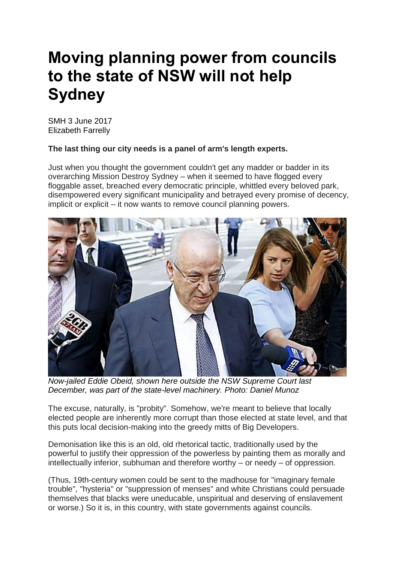## **Moving planning power from councils to the state of NSW will not help Sydney**

SMH 3 June 2017 Elizabeth Farrelly

## **The last thing our city needs is a panel of arm's length experts.**

Just when you thought the government couldn't get any madder or badder in its overarching Mission Destroy Sydney – when it seemed to have flogged every floggable asset, breached every democratic principle, whittled every beloved park, disempowered every significant municipality and betrayed every promise of decency, implicit or explicit – it now wants to remove council planning powers.



*Now-jailed Eddie Obeid, shown here outside the NSW Supreme Court last December, was part of the state-level machinery. Photo: Daniel Munoz*

The excuse, naturally, is "probity". Somehow, we're meant to believe that locally elected people are inherently more corrupt than those elected at state level, and that this puts local decision-making into the greedy mitts of Big Developers.

Demonisation like this is an old, old rhetorical tactic, traditionally used by the powerful to justify their oppression of the powerless by painting them as morally and intellectually inferior, subhuman and therefore worthy – or needy – of oppression.

(Thus, 19th-century women could be sent to the madhouse for "imaginary female trouble", "hysteria" or "suppression of menses" and white Christians could persuade themselves that blacks were uneducable, unspiritual and deserving of enslavement or worse.) So it is, in this country, with state governments against councils.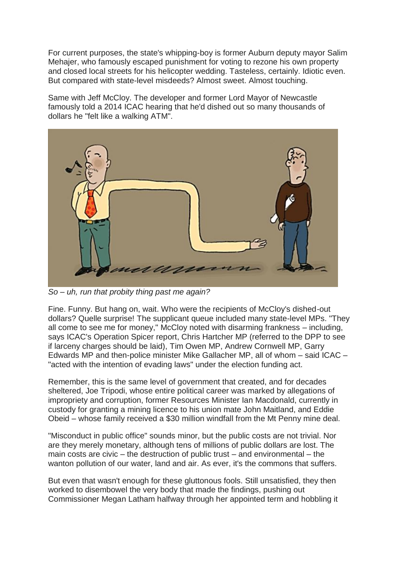For current purposes, the state's whipping-boy is former Auburn deputy mayor Salim Mehajer, who famously escaped punishment for voting to rezone his own property and closed local streets for his helicopter wedding. Tasteless, certainly. Idiotic even. But compared with state-level misdeeds? Almost sweet. Almost touching.

Same with Jeff McCloy. The developer and former Lord Mayor of Newcastle famously told a 2014 ICAC hearing that he'd dished out so many thousands of dollars he "felt like a walking ATM".



*So – uh, run that probity thing past me again?*

Fine. Funny. But hang on, wait. Who were the recipients of McCloy's dished-out dollars? Quelle surprise! The supplicant queue included many state-level MPs. "They all come to see me for money," McCloy noted with disarming frankness – including, says ICAC's Operation Spicer report, Chris Hartcher MP (referred to the DPP to see if larceny charges should be laid), Tim Owen MP, Andrew Cornwell MP, Garry Edwards MP and then-police minister Mike Gallacher MP, all of whom – said ICAC – "acted with the intention of evading laws" under the election funding act.

Remember, this is the same level of government that created, and for decades sheltered, Joe Tripodi, whose entire political career was marked by allegations of impropriety and corruption, former Resources Minister Ian Macdonald, currently in custody for granting a mining licence to his union mate John Maitland, and Eddie Obeid – whose family received a \$30 million windfall from the Mt Penny mine deal.

"Misconduct in public office" sounds minor, but the public costs are not trivial. Nor are they merely monetary, although tens of millions of public dollars are lost. The main costs are civic – the destruction of public trust – and environmental – the wanton pollution of our water, land and air. As ever, it's the commons that suffers.

But even that wasn't enough for these gluttonous fools. Still unsatisfied, they then worked to disembowel the very body that made the findings, pushing out Commissioner Megan Latham halfway through her appointed term and hobbling it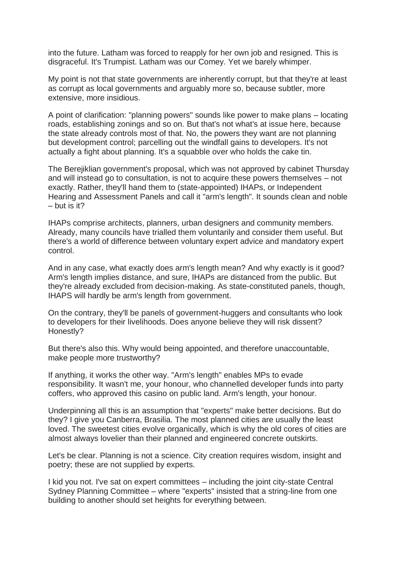into the future. Latham was forced to reapply for her own job and resigned. This is disgraceful. It's Trumpist. Latham was our Comey. Yet we barely whimper.

My point is not that state governments are inherently corrupt, but that they're at least as corrupt as local governments and arguably more so, because subtler, more extensive, more insidious.

A point of clarification: "planning powers" sounds like power to make plans – locating roads, establishing zonings and so on. But that's not what's at issue here, because the state already controls most of that. No, the powers they want are not planning but development control; parcelling out the windfall gains to developers. It's not actually a fight about planning. It's a squabble over who holds the cake tin.

The Berejiklian government's proposal, which was not approved by cabinet Thursday and will instead go to consultation, is not to acquire these powers themselves – not exactly. Rather, they'll hand them to (state-appointed) IHAPs, or Independent Hearing and Assessment Panels and call it "arm's length". It sounds clean and noble – but is it?

IHAPs comprise architects, planners, urban designers and community members. Already, many councils have trialled them voluntarily and consider them useful. But there's a world of difference between voluntary expert advice and mandatory expert control.

And in any case, what exactly does arm's length mean? And why exactly is it good? Arm's length implies distance, and sure, IHAPs are distanced from the public. But they're already excluded from decision-making. As state-constituted panels, though, IHAPS will hardly be arm's length from government.

On the contrary, they'll be panels of government-huggers and consultants who look to developers for their livelihoods. Does anyone believe they will risk dissent? Honestly?

But there's also this. Why would being appointed, and therefore unaccountable, make people more trustworthy?

If anything, it works the other way. "Arm's length" enables MPs to evade responsibility. It wasn't me, your honour, who channelled developer funds into party coffers, who approved this casino on public land. Arm's length, your honour.

Underpinning all this is an assumption that "experts" make better decisions. But do they? I give you Canberra, Brasilia. The most planned cities are usually the least loved. The sweetest cities evolve organically, which is why the old cores of cities are almost always lovelier than their planned and engineered concrete outskirts.

Let's be clear. Planning is not a science. City creation requires wisdom, insight and poetry; these are not supplied by experts.

I kid you not. I've sat on expert committees – including the joint city-state Central Sydney Planning Committee – where "experts" insisted that a string-line from one building to another should set heights for everything between.